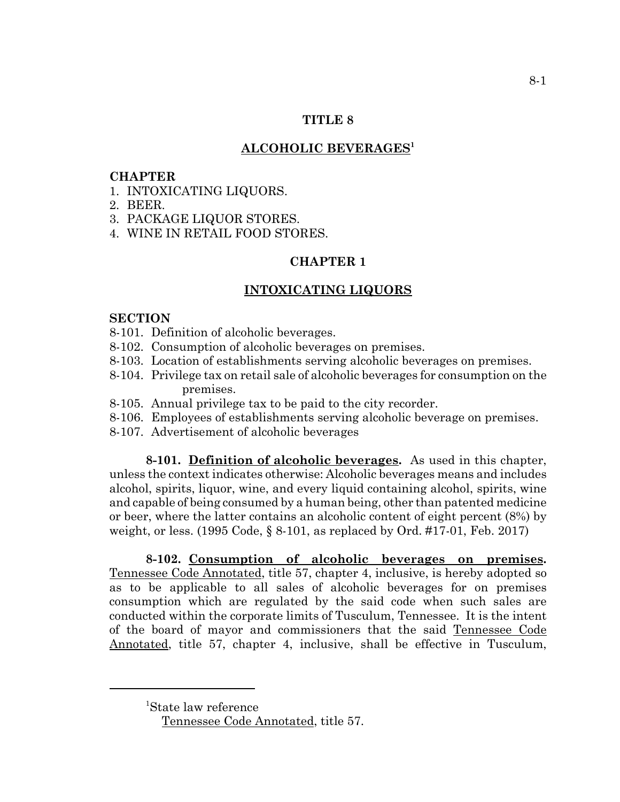### **TITLE 8**

## **ALCOHOLIC BEVERAGES1**

#### **CHAPTER**

- 1. INTOXICATING LIQUORS.
- 2. BEER.
- 3. PACKAGE LIQUOR STORES.
- 4. WINE IN RETAIL FOOD STORES.

## **CHAPTER 1**

### **INTOXICATING LIQUORS**

#### **SECTION**

- 8-101. Definition of alcoholic beverages.
- 8-102. Consumption of alcoholic beverages on premises.
- 8-103. Location of establishments serving alcoholic beverages on premises.
- 8-104. Privilege tax on retail sale of alcoholic beverages for consumption on the premises.
- 8-105. Annual privilege tax to be paid to the city recorder.
- 8-106. Employees of establishments serving alcoholic beverage on premises.
- 8-107. Advertisement of alcoholic beverages

**8-101. Definition of alcoholic beverages.** As used in this chapter, unless the context indicates otherwise: Alcoholic beverages means and includes alcohol, spirits, liquor, wine, and every liquid containing alcohol, spirits, wine and capable of being consumed by a human being, other than patented medicine or beer, where the latter contains an alcoholic content of eight percent (8%) by weight, or less. (1995 Code, § 8-101, as replaced by Ord. #17-01, Feb. 2017)

**8-102. Consumption of alcoholic beverages on premises.** Tennessee Code Annotated, title 57, chapter 4, inclusive, is hereby adopted so as to be applicable to all sales of alcoholic beverages for on premises consumption which are regulated by the said code when such sales are conducted within the corporate limits of Tusculum, Tennessee. It is the intent of the board of mayor and commissioners that the said Tennessee Code Annotated, title 57, chapter 4, inclusive, shall be effective in Tusculum,

<sup>1</sup> State law reference

Tennessee Code Annotated, title 57.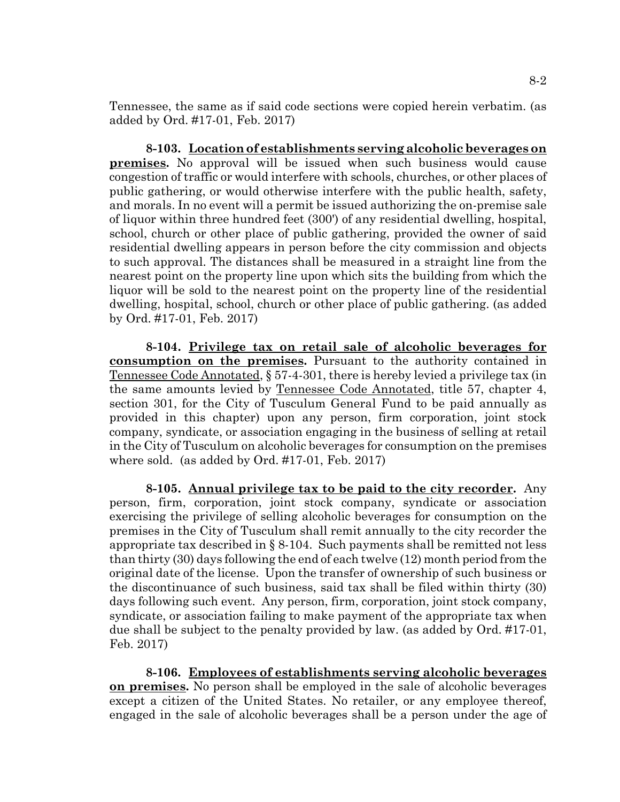Tennessee, the same as if said code sections were copied herein verbatim. (as added by Ord. #17-01, Feb. 2017)

**8-103. Location of establishments serving alcoholic beverages on premises.** No approval will be issued when such business would cause congestion of traffic or would interfere with schools, churches, or other places of public gathering, or would otherwise interfere with the public health, safety, and morals. In no event will a permit be issued authorizing the on-premise sale of liquor within three hundred feet (300') of any residential dwelling, hospital, school, church or other place of public gathering, provided the owner of said residential dwelling appears in person before the city commission and objects to such approval. The distances shall be measured in a straight line from the nearest point on the property line upon which sits the building from which the liquor will be sold to the nearest point on the property line of the residential dwelling, hospital, school, church or other place of public gathering. (as added by Ord. #17-01, Feb. 2017)

**8-104. Privilege tax on retail sale of alcoholic beverages for consumption on the premises.** Pursuant to the authority contained in Tennessee Code Annotated, § 57-4-301, there is hereby levied a privilege tax (in the same amounts levied by Tennessee Code Annotated, title 57, chapter 4, section 301, for the City of Tusculum General Fund to be paid annually as provided in this chapter) upon any person, firm corporation, joint stock company, syndicate, or association engaging in the business of selling at retail in the City of Tusculum on alcoholic beverages for consumption on the premises where sold. (as added by Ord. #17-01, Feb. 2017)

**8-105. Annual privilege tax to be paid to the city recorder.** Any person, firm, corporation, joint stock company, syndicate or association exercising the privilege of selling alcoholic beverages for consumption on the premises in the City of Tusculum shall remit annually to the city recorder the appropriate tax described in § 8-104. Such payments shall be remitted not less than thirty (30) days following the end of each twelve (12) month period from the original date of the license. Upon the transfer of ownership of such business or the discontinuance of such business, said tax shall be filed within thirty (30) days following such event. Any person, firm, corporation, joint stock company, syndicate, or association failing to make payment of the appropriate tax when due shall be subject to the penalty provided by law. (as added by Ord. #17-01, Feb. 2017)

**8-106. Employees of establishments serving alcoholic beverages on premises.** No person shall be employed in the sale of alcoholic beverages except a citizen of the United States. No retailer, or any employee thereof, engaged in the sale of alcoholic beverages shall be a person under the age of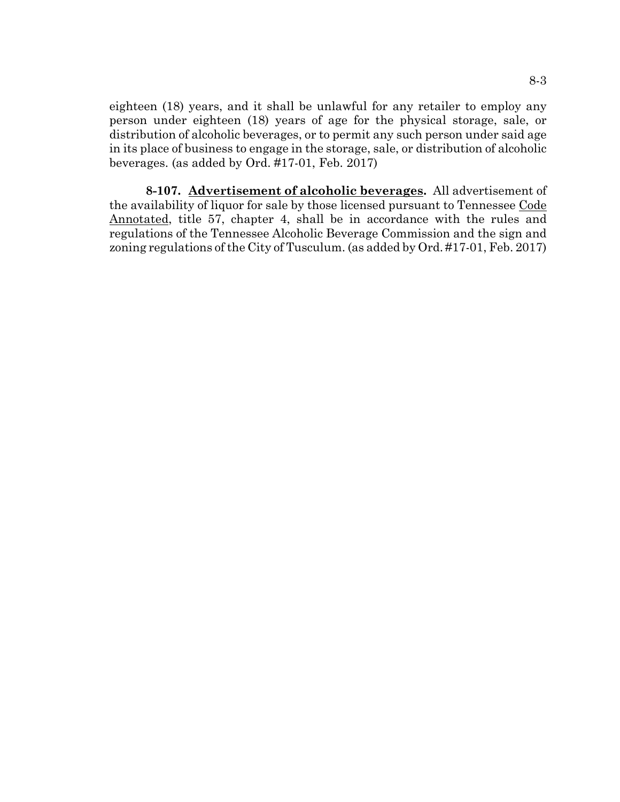eighteen (18) years, and it shall be unlawful for any retailer to employ any person under eighteen (18) years of age for the physical storage, sale, or distribution of alcoholic beverages, or to permit any such person under said age in its place of business to engage in the storage, sale, or distribution of alcoholic beverages. (as added by Ord. #17-01, Feb. 2017)

**8-107. Advertisement of alcoholic beverages.** All advertisement of the availability of liquor for sale by those licensed pursuant to Tennessee Code Annotated, title 57, chapter 4, shall be in accordance with the rules and regulations of the Tennessee Alcoholic Beverage Commission and the sign and zoning regulations of the City of Tusculum. (as added by Ord. #17-01, Feb. 2017)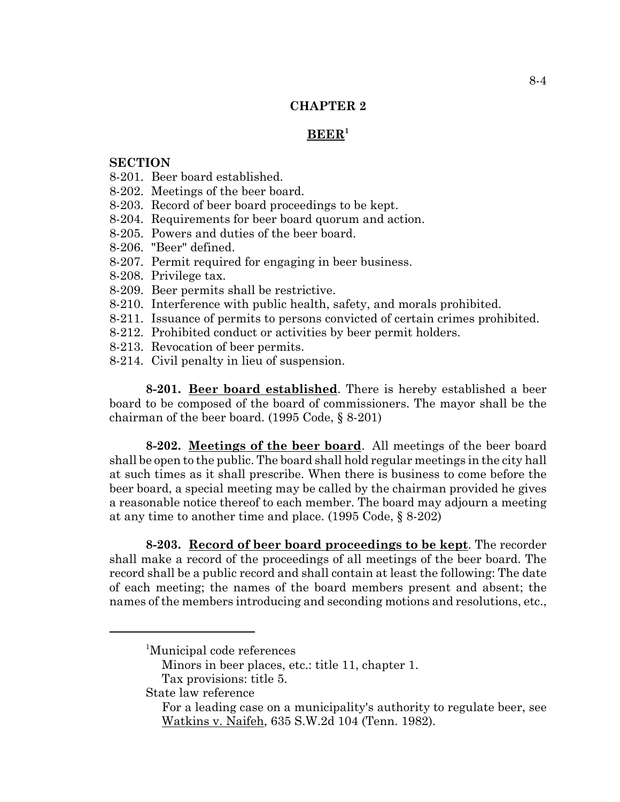## **CHAPTER 2**

### **BEER1**

### **SECTION**

- 8-201. Beer board established.
- 8-202. Meetings of the beer board.
- 8-203. Record of beer board proceedings to be kept.
- 8-204. Requirements for beer board quorum and action.
- 8-205. Powers and duties of the beer board.
- 8-206. "Beer" defined.
- 8-207. Permit required for engaging in beer business.
- 8-208. Privilege tax.
- 8-209. Beer permits shall be restrictive.
- 8-210. Interference with public health, safety, and morals prohibited.
- 8-211. Issuance of permits to persons convicted of certain crimes prohibited.
- 8-212. Prohibited conduct or activities by beer permit holders.
- 8-213. Revocation of beer permits.
- 8-214. Civil penalty in lieu of suspension.

**8-201. Beer board established**. There is hereby established a beer board to be composed of the board of commissioners. The mayor shall be the chairman of the beer board. (1995 Code, § 8-201)

**8-202. Meetings of the beer board**. All meetings of the beer board shall be open to the public. The board shall hold regular meetings in the city hall at such times as it shall prescribe. When there is business to come before the beer board, a special meeting may be called by the chairman provided he gives a reasonable notice thereof to each member. The board may adjourn a meeting at any time to another time and place. (1995 Code, § 8-202)

**8-203. Record of beer board proceedings to be kept**. The recorder shall make a record of the proceedings of all meetings of the beer board. The record shall be a public record and shall contain at least the following: The date of each meeting; the names of the board members present and absent; the names of the members introducing and seconding motions and resolutions, etc.,

State law reference

<sup>&</sup>lt;sup>1</sup>Municipal code references

Minors in beer places, etc.: title 11, chapter 1.

Tax provisions: title 5.

For a leading case on a municipality's authority to regulate beer, see Watkins v. Naifeh, 635 S.W.2d 104 (Tenn. 1982).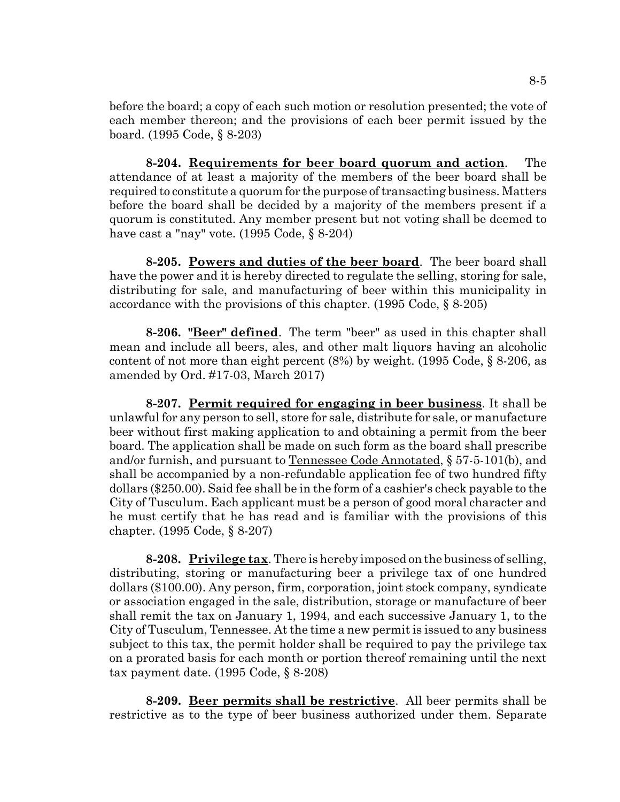before the board; a copy of each such motion or resolution presented; the vote of each member thereon; and the provisions of each beer permit issued by the board. (1995 Code, § 8-203)

**8-204. Requirements for beer board quorum and action**. The attendance of at least a majority of the members of the beer board shall be required to constitute a quorum for the purpose of transacting business. Matters before the board shall be decided by a majority of the members present if a quorum is constituted. Any member present but not voting shall be deemed to have cast a "nay" vote. (1995 Code, § 8-204)

**8-205. Powers and duties of the beer board**. The beer board shall have the power and it is hereby directed to regulate the selling, storing for sale, distributing for sale, and manufacturing of beer within this municipality in accordance with the provisions of this chapter. (1995 Code, § 8-205)

**8-206. "Beer" defined**. The term "beer" as used in this chapter shall mean and include all beers, ales, and other malt liquors having an alcoholic content of not more than eight percent (8%) by weight. (1995 Code, § 8-206, as amended by Ord. #17-03, March 2017)

**8-207. Permit required for engaging in beer business**. It shall be unlawful for any person to sell, store for sale, distribute for sale, or manufacture beer without first making application to and obtaining a permit from the beer board. The application shall be made on such form as the board shall prescribe and/or furnish, and pursuant to Tennessee Code Annotated, § 57-5-101(b), and shall be accompanied by a non-refundable application fee of two hundred fifty dollars (\$250.00). Said fee shall be in the form of a cashier's check payable to the City of Tusculum. Each applicant must be a person of good moral character and he must certify that he has read and is familiar with the provisions of this chapter. (1995 Code, § 8-207)

**8-208. Privilege tax**. There is hereby imposed on the business of selling, distributing, storing or manufacturing beer a privilege tax of one hundred dollars (\$100.00). Any person, firm, corporation, joint stock company, syndicate or association engaged in the sale, distribution, storage or manufacture of beer shall remit the tax on January 1, 1994, and each successive January 1, to the City of Tusculum, Tennessee. At the time a new permit is issued to any business subject to this tax, the permit holder shall be required to pay the privilege tax on a prorated basis for each month or portion thereof remaining until the next tax payment date. (1995 Code, § 8-208)

**8-209. Beer permits shall be restrictive**. All beer permits shall be restrictive as to the type of beer business authorized under them. Separate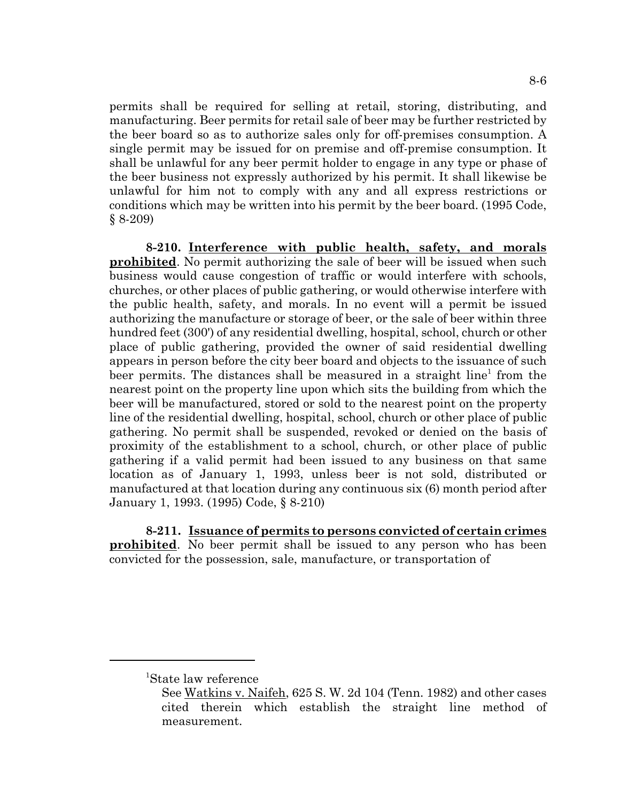permits shall be required for selling at retail, storing, distributing, and manufacturing. Beer permits for retail sale of beer may be further restricted by the beer board so as to authorize sales only for off-premises consumption. A single permit may be issued for on premise and off-premise consumption. It shall be unlawful for any beer permit holder to engage in any type or phase of the beer business not expressly authorized by his permit. It shall likewise be unlawful for him not to comply with any and all express restrictions or conditions which may be written into his permit by the beer board. (1995 Code, § 8-209)

**8-210. Interference with public health, safety, and morals prohibited**. No permit authorizing the sale of beer will be issued when such business would cause congestion of traffic or would interfere with schools, churches, or other places of public gathering, or would otherwise interfere with the public health, safety, and morals. In no event will a permit be issued authorizing the manufacture or storage of beer, or the sale of beer within three hundred feet (300') of any residential dwelling, hospital, school, church or other place of public gathering, provided the owner of said residential dwelling appears in person before the city beer board and objects to the issuance of such beer permits. The distances shall be measured in a straight line<sup>1</sup> from the nearest point on the property line upon which sits the building from which the beer will be manufactured, stored or sold to the nearest point on the property line of the residential dwelling, hospital, school, church or other place of public gathering. No permit shall be suspended, revoked or denied on the basis of proximity of the establishment to a school, church, or other place of public gathering if a valid permit had been issued to any business on that same location as of January 1, 1993, unless beer is not sold, distributed or manufactured at that location during any continuous six (6) month period after January 1, 1993. (1995) Code, § 8-210)

**8-211. Issuance of permits to persons convicted of certain crimes prohibited**. No beer permit shall be issued to any person who has been convicted for the possession, sale, manufacture, or transportation of

<sup>1</sup> State law reference

See Watkins v. Naifeh, 625 S. W. 2d 104 (Tenn. 1982) and other cases cited therein which establish the straight line method of measurement.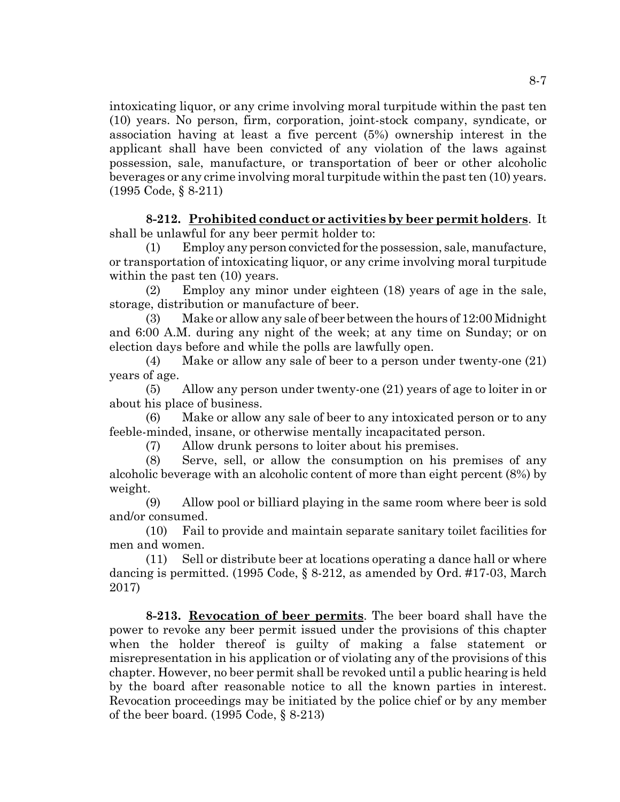intoxicating liquor, or any crime involving moral turpitude within the past ten (10) years. No person, firm, corporation, joint-stock company, syndicate, or association having at least a five percent (5%) ownership interest in the applicant shall have been convicted of any violation of the laws against possession, sale, manufacture, or transportation of beer or other alcoholic beverages or any crime involving moral turpitude within the past ten (10) years. (1995 Code, § 8-211)

**8-212. Prohibited conduct or activities by beer permit holders**. It shall be unlawful for any beer permit holder to:

(1) Employ any person convicted for the possession, sale, manufacture, or transportation of intoxicating liquor, or any crime involving moral turpitude within the past ten  $(10)$  years.

(2) Employ any minor under eighteen (18) years of age in the sale, storage, distribution or manufacture of beer.

(3) Make or allow any sale of beer between the hours of 12:00 Midnight and 6:00 A.M. during any night of the week; at any time on Sunday; or on election days before and while the polls are lawfully open.

(4) Make or allow any sale of beer to a person under twenty-one (21) years of age.

(5) Allow any person under twenty-one (21) years of age to loiter in or about his place of business.

(6) Make or allow any sale of beer to any intoxicated person or to any feeble-minded, insane, or otherwise mentally incapacitated person.

(7) Allow drunk persons to loiter about his premises.

(8) Serve, sell, or allow the consumption on his premises of any alcoholic beverage with an alcoholic content of more than eight percent (8%) by weight.

(9) Allow pool or billiard playing in the same room where beer is sold and/or consumed.

(10) Fail to provide and maintain separate sanitary toilet facilities for men and women.

(11) Sell or distribute beer at locations operating a dance hall or where dancing is permitted. (1995 Code, § 8-212, as amended by Ord. #17-03, March 2017)

**8-213. Revocation of beer permits**. The beer board shall have the power to revoke any beer permit issued under the provisions of this chapter when the holder thereof is guilty of making a false statement or misrepresentation in his application or of violating any of the provisions of this chapter. However, no beer permit shall be revoked until a public hearing is held by the board after reasonable notice to all the known parties in interest. Revocation proceedings may be initiated by the police chief or by any member of the beer board. (1995 Code, § 8-213)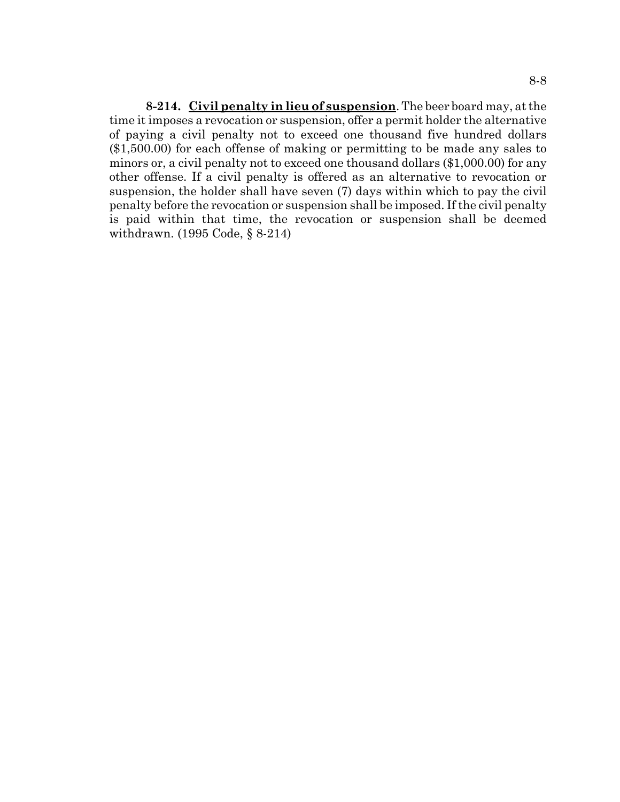**8-214. Civil penalty in lieu of suspension**. The beer board may, at the time it imposes a revocation or suspension, offer a permit holder the alternative of paying a civil penalty not to exceed one thousand five hundred dollars (\$1,500.00) for each offense of making or permitting to be made any sales to minors or, a civil penalty not to exceed one thousand dollars (\$1,000.00) for any other offense. If a civil penalty is offered as an alternative to revocation or suspension, the holder shall have seven (7) days within which to pay the civil penalty before the revocation or suspension shall be imposed. If the civil penalty is paid within that time, the revocation or suspension shall be deemed withdrawn. (1995 Code, § 8-214)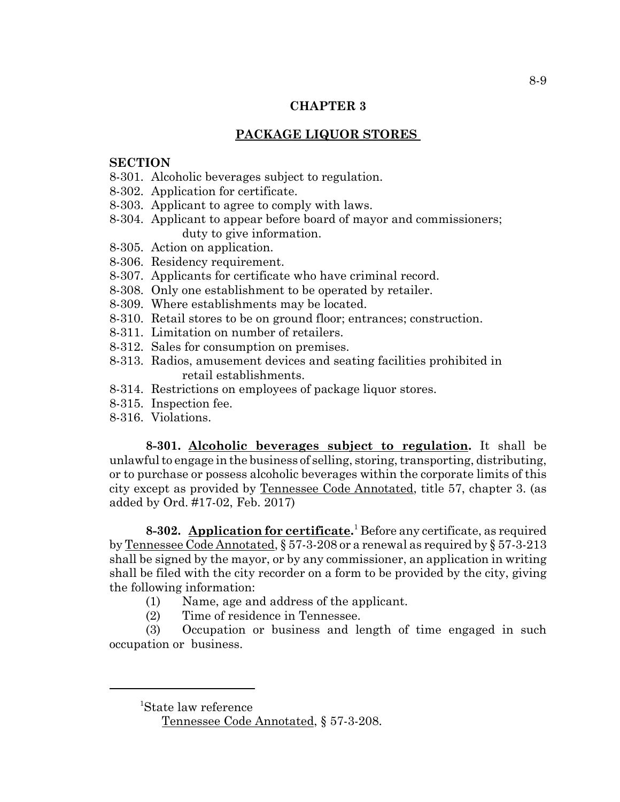## **CHAPTER 3**

# **PACKAGE LIQUOR STORES**

### **SECTION**

- 8-301. Alcoholic beverages subject to regulation.
- 8-302. Application for certificate.
- 8-303. Applicant to agree to comply with laws.
- 8-304. Applicant to appear before board of mayor and commissioners; duty to give information.
- 8-305. Action on application.
- 8-306. Residency requirement.
- 8-307. Applicants for certificate who have criminal record.
- 8-308. Only one establishment to be operated by retailer.
- 8-309. Where establishments may be located.
- 8-310. Retail stores to be on ground floor; entrances; construction.
- 8-311. Limitation on number of retailers.
- 8-312. Sales for consumption on premises.
- 8-313. Radios, amusement devices and seating facilities prohibited in retail establishments.
- 8-314. Restrictions on employees of package liquor stores.
- 8-315. Inspection fee.
- 8-316. Violations.

**8-301. Alcoholic beverages subject to regulation.** It shall be unlawful to engage in the business of selling, storing, transporting, distributing, or to purchase or possess alcoholic beverages within the corporate limits of this city except as provided by Tennessee Code Annotated, title 57, chapter 3. (as added by Ord. #17-02, Feb. 2017)

**8-302. Application for certificate.** 1 Before any certificate, as required by Tennessee Code Annotated, § 57-3-208 or a renewal as required by § 57-3-213 shall be signed by the mayor, or by any commissioner, an application in writing shall be filed with the city recorder on a form to be provided by the city, giving the following information:

- (1) Name, age and address of the applicant.
- (2) Time of residence in Tennessee.

(3) Occupation or business and length of time engaged in such occupation or business.

<sup>1</sup> State law reference

Tennessee Code Annotated, § 57-3-208.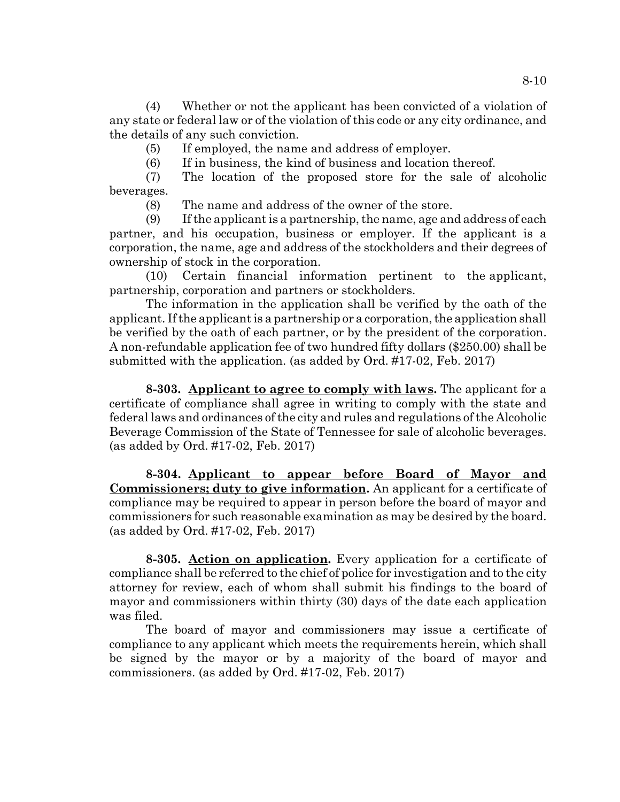(4) Whether or not the applicant has been convicted of a violation of any state or federal law or of the violation of this code or any city ordinance, and the details of any such conviction.

(5) If employed, the name and address of employer.

(6) If in business, the kind of business and location thereof.

(7) The location of the proposed store for the sale of alcoholic beverages.

(8) The name and address of the owner of the store.

(9) If the applicant is a partnership, the name, age and address of each partner, and his occupation, business or employer. If the applicant is a corporation, the name, age and address of the stockholders and their degrees of ownership of stock in the corporation.

(10) Certain financial information pertinent to the applicant, partnership, corporation and partners or stockholders.

The information in the application shall be verified by the oath of the applicant. If the applicant is a partnership or a corporation, the application shall be verified by the oath of each partner, or by the president of the corporation. A non-refundable application fee of two hundred fifty dollars (\$250.00) shall be submitted with the application. (as added by Ord. #17-02, Feb. 2017)

**8-303. Applicant to agree to comply with laws.** The applicant for a certificate of compliance shall agree in writing to comply with the state and federal laws and ordinances of the city and rules and regulations of the Alcoholic Beverage Commission of the State of Tennessee for sale of alcoholic beverages. (as added by Ord. #17-02, Feb. 2017)

**8-304. Applicant to appear before Board of Mayor and Commissioners; duty to give information.** An applicant for a certificate of compliance may be required to appear in person before the board of mayor and commissioners for such reasonable examination as may be desired by the board. (as added by Ord. #17-02, Feb. 2017)

**8-305. Action on application.** Every application for a certificate of compliance shall be referred to the chief of police for investigation and to the city attorney for review, each of whom shall submit his findings to the board of mayor and commissioners within thirty (30) days of the date each application was filed.

The board of mayor and commissioners may issue a certificate of compliance to any applicant which meets the requirements herein, which shall be signed by the mayor or by a majority of the board of mayor and commissioners. (as added by Ord. #17-02, Feb. 2017)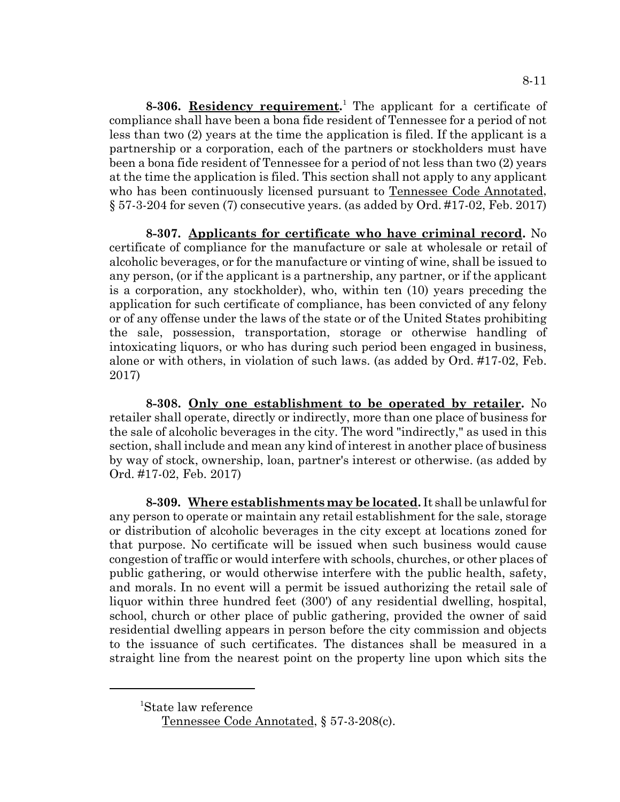**8-306.** Residency requirement.<sup>1</sup> The applicant for a certificate of compliance shall have been a bona fide resident of Tennessee for a period of not less than two (2) years at the time the application is filed. If the applicant is a partnership or a corporation, each of the partners or stockholders must have been a bona fide resident of Tennessee for a period of not less than two (2) years at the time the application is filed. This section shall not apply to any applicant who has been continuously licensed pursuant to Tennessee Code Annotated, § 57-3-204 for seven (7) consecutive years. (as added by Ord. #17-02, Feb. 2017)

**8-307. Applicants for certificate who have criminal record.** No certificate of compliance for the manufacture or sale at wholesale or retail of alcoholic beverages, or for the manufacture or vinting of wine, shall be issued to any person, (or if the applicant is a partnership, any partner, or if the applicant is a corporation, any stockholder), who, within ten (10) years preceding the application for such certificate of compliance, has been convicted of any felony or of any offense under the laws of the state or of the United States prohibiting the sale, possession, transportation, storage or otherwise handling of intoxicating liquors, or who has during such period been engaged in business, alone or with others, in violation of such laws. (as added by Ord. #17-02, Feb. 2017)

**8-308. Only one establishment to be operated by retailer.** No retailer shall operate, directly or indirectly, more than one place of business for the sale of alcoholic beverages in the city. The word "indirectly," as used in this section, shall include and mean any kind of interest in another place of business by way of stock, ownership, loan, partner's interest or otherwise. (as added by Ord. #17-02, Feb. 2017)

**8-309. Where establishments may be located.** It shall be unlawful for any person to operate or maintain any retail establishment for the sale, storage or distribution of alcoholic beverages in the city except at locations zoned for that purpose. No certificate will be issued when such business would cause congestion of traffic or would interfere with schools, churches, or other places of public gathering, or would otherwise interfere with the public health, safety, and morals. In no event will a permit be issued authorizing the retail sale of liquor within three hundred feet (300') of any residential dwelling, hospital, school, church or other place of public gathering, provided the owner of said residential dwelling appears in person before the city commission and objects to the issuance of such certificates. The distances shall be measured in a straight line from the nearest point on the property line upon which sits the

<sup>1</sup> State law reference

Tennessee Code Annotated, § 57-3-208(c).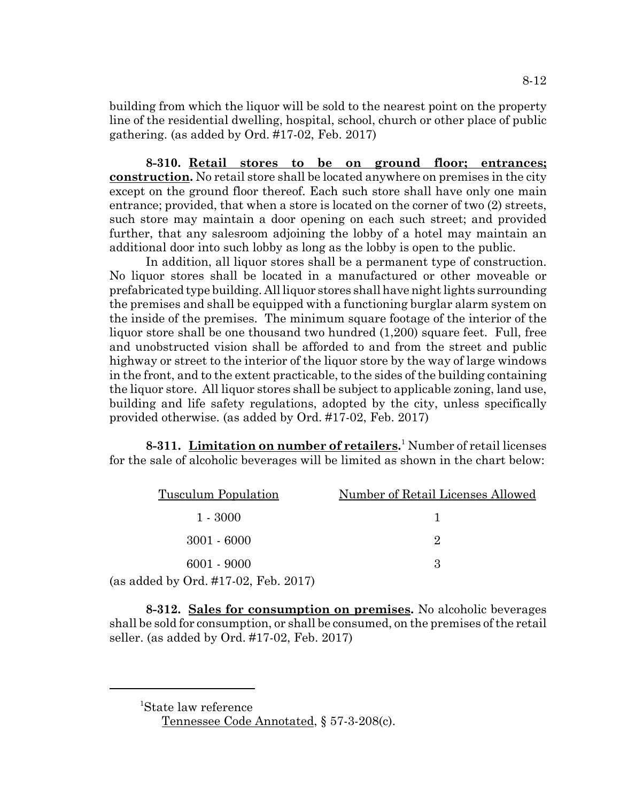building from which the liquor will be sold to the nearest point on the property line of the residential dwelling, hospital, school, church or other place of public gathering. (as added by Ord. #17-02, Feb. 2017)

**8-310. Retail stores to be on ground floor; entrances; construction.** No retail store shall be located anywhere on premises in the city except on the ground floor thereof. Each such store shall have only one main entrance; provided, that when a store is located on the corner of two (2) streets, such store may maintain a door opening on each such street; and provided further, that any salesroom adjoining the lobby of a hotel may maintain an additional door into such lobby as long as the lobby is open to the public.

In addition, all liquor stores shall be a permanent type of construction. No liquor stores shall be located in a manufactured or other moveable or prefabricated type building. All liquor stores shall have night lights surrounding the premises and shall be equipped with a functioning burglar alarm system on the inside of the premises. The minimum square footage of the interior of the liquor store shall be one thousand two hundred (1,200) square feet. Full, free and unobstructed vision shall be afforded to and from the street and public highway or street to the interior of the liquor store by the way of large windows in the front, and to the extent practicable, to the sides of the building containing the liquor store. All liquor stores shall be subject to applicable zoning, land use, building and life safety regulations, adopted by the city, unless specifically provided otherwise. (as added by Ord. #17-02, Feb. 2017)

8-311. Limitation on number of retailers.<sup>1</sup> Number of retail licenses for the sale of alcoholic beverages will be limited as shown in the chart below:

| <b>Tusculum Population</b>                                                        | Number of Retail Licenses Allowed |
|-----------------------------------------------------------------------------------|-----------------------------------|
| $1 - 3000$                                                                        |                                   |
| $3001 - 6000$                                                                     | 9.                                |
| $6001 - 9000$                                                                     | З                                 |
| $d_{\text{dof}}$ by $\Omega_{\text{rad}}$ $\#17.09$ $\text{F}_{\text{ab}}$ $9017$ |                                   |

(as added by Ord. #17-02, Feb. 2017)

**8-312. Sales for consumption on premises.** No alcoholic beverages shall be sold for consumption, or shall be consumed, on the premises of the retail seller. (as added by Ord. #17-02, Feb. 2017)

 <sup>1</sup> State law reference Tennessee Code Annotated, § 57-3-208(c).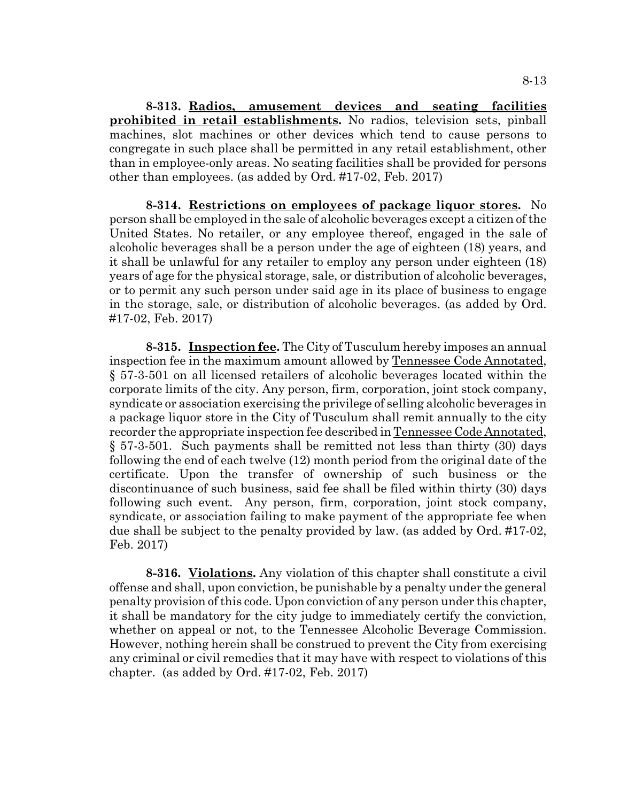**8-313. Radios, amusement devices and seating facilities prohibited in retail establishments.** No radios, television sets, pinball machines, slot machines or other devices which tend to cause persons to congregate in such place shall be permitted in any retail establishment, other than in employee-only areas. No seating facilities shall be provided for persons other than employees. (as added by Ord. #17-02, Feb. 2017)

**8-314. Restrictions on employees of package liquor stores.** No person shall be employed in the sale of alcoholic beverages except a citizen of the United States. No retailer, or any employee thereof, engaged in the sale of alcoholic beverages shall be a person under the age of eighteen (18) years, and it shall be unlawful for any retailer to employ any person under eighteen (18) years of age for the physical storage, sale, or distribution of alcoholic beverages, or to permit any such person under said age in its place of business to engage in the storage, sale, or distribution of alcoholic beverages. (as added by Ord. #17-02, Feb. 2017)

**8-315. Inspection fee.** The City of Tusculum hereby imposes an annual inspection fee in the maximum amount allowed by Tennessee Code Annotated, § 57-3-501 on all licensed retailers of alcoholic beverages located within the corporate limits of the city. Any person, firm, corporation, joint stock company, syndicate or association exercising the privilege of selling alcoholic beverages in a package liquor store in the City of Tusculum shall remit annually to the city recorder the appropriate inspection fee described in Tennessee Code Annotated, § 57-3-501. Such payments shall be remitted not less than thirty (30) days following the end of each twelve (12) month period from the original date of the certificate. Upon the transfer of ownership of such business or the discontinuance of such business, said fee shall be filed within thirty (30) days following such event. Any person, firm, corporation, joint stock company, syndicate, or association failing to make payment of the appropriate fee when due shall be subject to the penalty provided by law. (as added by Ord. #17-02, Feb. 2017)

**8-316. Violations.** Any violation of this chapter shall constitute a civil offense and shall, upon conviction, be punishable by a penalty under the general penalty provision of this code. Upon conviction of any person under this chapter, it shall be mandatory for the city judge to immediately certify the conviction, whether on appeal or not, to the Tennessee Alcoholic Beverage Commission. However, nothing herein shall be construed to prevent the City from exercising any criminal or civil remedies that it may have with respect to violations of this chapter. (as added by Ord. #17-02, Feb. 2017)